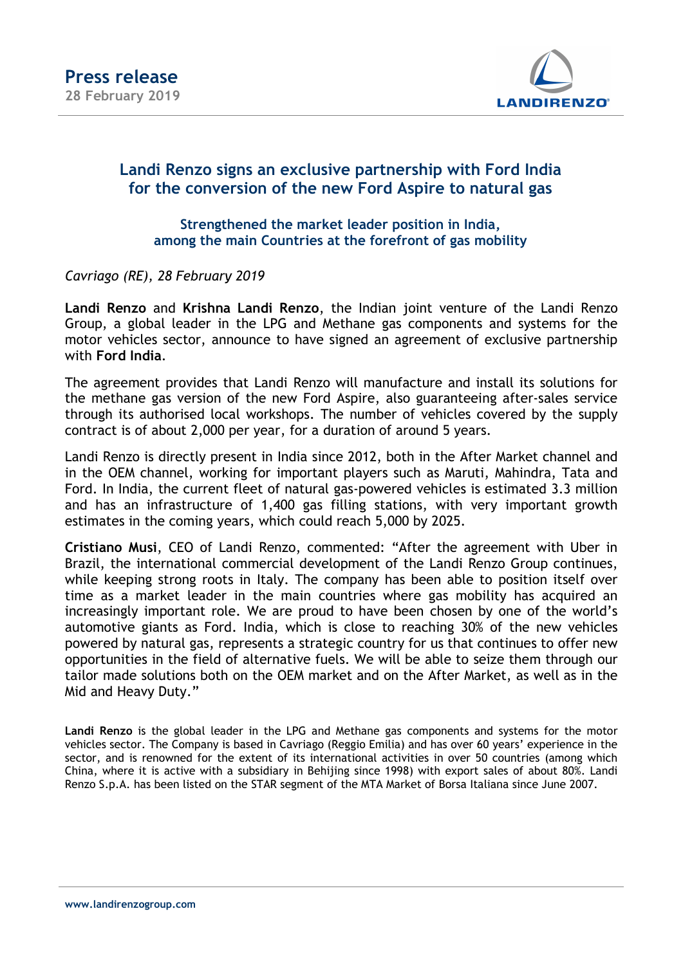

## Landi Renzo signs an exclusive partnership with Ford India for the conversion of the new Ford Aspire to natural gas

Strengthened the market leader position in India, among the main Countries at the forefront of gas mobility

Cavriago (RE), 28 February 2019

Landi Renzo and Krishna Landi Renzo, the Indian joint venture of the Landi Renzo Group, a global leader in the LPG and Methane gas components and systems for the motor vehicles sector, announce to have signed an agreement of exclusive partnership with Ford India.

The agreement provides that Landi Renzo will manufacture and install its solutions for the methane gas version of the new Ford Aspire, also guaranteeing after-sales service through its authorised local workshops. The number of vehicles covered by the supply contract is of about 2,000 per year, for a duration of around 5 years.

Landi Renzo is directly present in India since 2012, both in the After Market channel and in the OEM channel, working for important players such as Maruti, Mahindra, Tata and Ford. In India, the current fleet of natural gas-powered vehicles is estimated 3.3 million and has an infrastructure of 1,400 gas filling stations, with very important growth estimates in the coming years, which could reach 5,000 by 2025.

Cristiano Musi, CEO of Landi Renzo, commented: "After the agreement with Uber in Brazil, the international commercial development of the Landi Renzo Group continues, while keeping strong roots in Italy. The company has been able to position itself over time as a market leader in the main countries where gas mobility has acquired an increasingly important role. We are proud to have been chosen by one of the world's automotive giants as Ford. India, which is close to reaching 30% of the new vehicles powered by natural gas, represents a strategic country for us that continues to offer new opportunities in the field of alternative fuels. We will be able to seize them through our tailor made solutions both on the OEM market and on the After Market, as well as in the Mid and Heavy Duty."

Landi Renzo is the global leader in the LPG and Methane gas components and systems for the motor vehicles sector. The Company is based in Cavriago (Reggio Emilia) and has over 60 years' experience in the sector, and is renowned for the extent of its international activities in over 50 countries (among which China, where it is active with a subsidiary in Behijing since 1998) with export sales of about 80%. Landi Renzo S.p.A. has been listed on the STAR segment of the MTA Market of Borsa Italiana since June 2007.